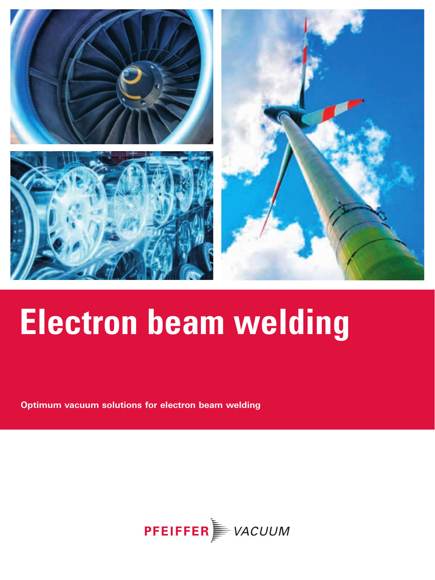

**Optimum vacuum solutions for electron beam welding**

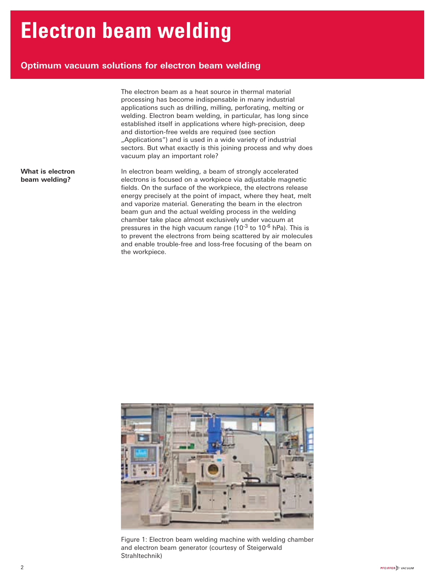### **Optimum vacuum solutions for electron beam welding**

The electron beam as a heat source in thermal material processing has become indispensable in many industrial applications such as drilling, milling, perforating, melting or welding. Electron beam welding, in particular, has long since established itself in applications where high-precision, deep and distortion-free welds are required (see section "Applications") and is used in a wide variety of industrial sectors. But what exactly is this joining process and why does vacuum play an important role?

In electron beam welding, a beam of strongly accelerated electrons is focused on a workpiece via adjustable magnetic fields. On the surface of the workpiece, the electrons release energy precisely at the point of impact, where they heat, melt and vaporize material. Generating the beam in the electron beam gun and the actual welding process in the welding chamber take place almost exclusively under vacuum at pressures in the high vacuum range  $(10^{-3}$  to 10<sup>-6</sup> hPa). This is to prevent the electrons from being scattered by air molecules and enable trouble-free and loss-free focusing of the beam on the workpiece.



Figure 1: Electron beam welding machine with welding chamber and electron beam generator (courtesy of Steigerwald Strahltechnik)

**What is electron beam welding?**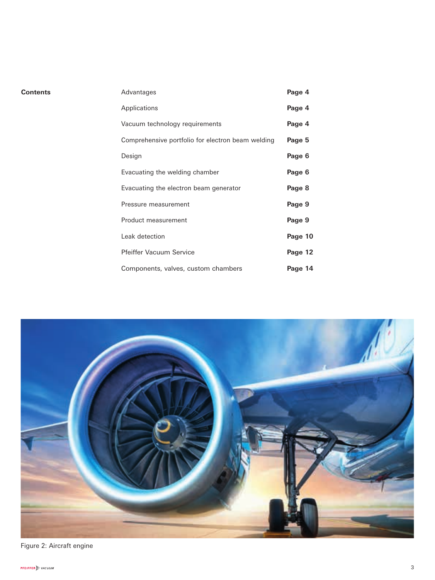| Contents | Advantages                                        | Page 4  |
|----------|---------------------------------------------------|---------|
|          | Applications                                      | Page 4  |
|          | Vacuum technology requirements                    | Page 4  |
|          | Comprehensive portfolio for electron beam welding | Page 5  |
|          | Design                                            | Page 6  |
|          | Evacuating the welding chamber                    | Page 6  |
|          | Evacuating the electron beam generator            | Page 8  |
|          | Pressure measurement                              | Page 9  |
|          | Product measurement                               | Page 9  |
|          | Leak detection                                    | Page 10 |
|          | <b>Pfeiffer Vacuum Service</b>                    | Page 12 |
|          | Components, valves, custom chambers               | Page 14 |

Figure 2: Aircraft engine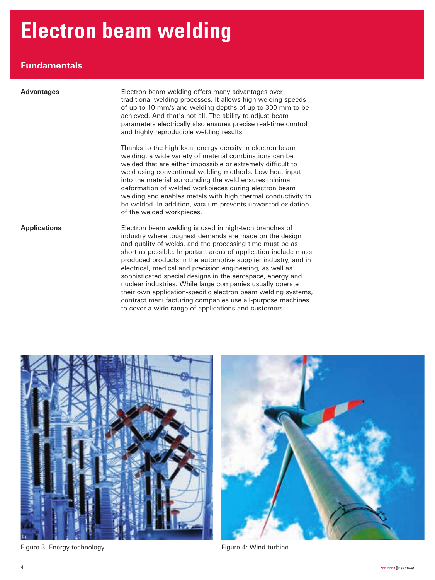### **Fundamentals**

| <b>Advantages</b>   | Electron beam welding offers many advantages over<br>traditional welding processes. It allows high welding speeds<br>of up to 10 mm/s and welding depths of up to 300 mm to be<br>achieved. And that's not all. The ability to adjust beam<br>parameters electrically also ensures precise real-time control<br>and highly reproducible welding results.                                                                                                                                                                                                                 |  |
|---------------------|--------------------------------------------------------------------------------------------------------------------------------------------------------------------------------------------------------------------------------------------------------------------------------------------------------------------------------------------------------------------------------------------------------------------------------------------------------------------------------------------------------------------------------------------------------------------------|--|
|                     | Thanks to the high local energy density in electron beam<br>welding, a wide variety of material combinations can be<br>welded that are either impossible or extremely difficult to<br>weld using conventional welding methods. Low heat input<br>into the material surrounding the weld ensures minimal<br>deformation of welded workpieces during electron beam<br>welding and enables metals with high thermal conductivity to<br>be welded. In addition, vacuum prevents unwanted oxidation<br>of the welded workpieces.                                              |  |
| <b>Applications</b> | Electron beam welding is used in high-tech branches of<br>industry where toughest demands are made on the design<br>and quality of welds, and the processing time must be as<br>short as possible. Important areas of application include mass<br>produced products in the automotive supplier industry, and in<br>electrical, medical and precision engineering, as well as<br>sophisticated special designs in the aerospace, energy and<br>nuclear industries. While large companies usually operate<br>their own application-specific electron beam welding systems, |  |

contract manufacturing companies use all-purpose machines

to cover a wide range of applications and customers.



Figure 3: Energy technology entitled to the Second Pigure 4: Wind turbine

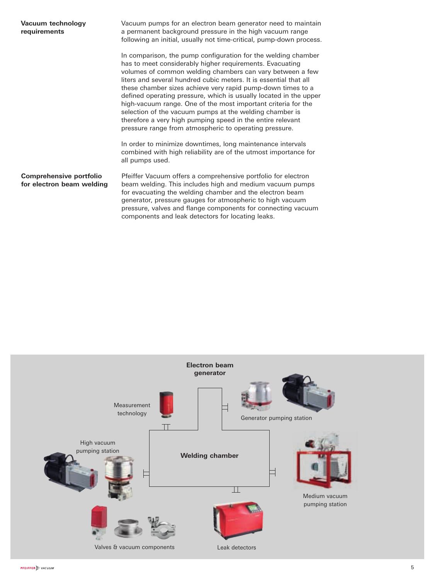| Vacuum technology<br>requirements                    | Vacuum pumps for an electron beam generator need to maintain<br>a permanent background pressure in the high vacuum range<br>following an initial, usually not time-critical, pump-down process.                                                                                                                                                                                                                                                                                                                                                                                                                                                     |  |
|------------------------------------------------------|-----------------------------------------------------------------------------------------------------------------------------------------------------------------------------------------------------------------------------------------------------------------------------------------------------------------------------------------------------------------------------------------------------------------------------------------------------------------------------------------------------------------------------------------------------------------------------------------------------------------------------------------------------|--|
|                                                      | In comparison, the pump configuration for the welding chamber<br>has to meet considerably higher requirements. Evacuating<br>volumes of common welding chambers can vary between a few<br>liters and several hundred cubic meters. It is essential that all<br>these chamber sizes achieve very rapid pump-down times to a<br>defined operating pressure, which is usually located in the upper<br>high-vacuum range. One of the most important criteria for the<br>selection of the vacuum pumps at the welding chamber is<br>therefore a very high pumping speed in the entire relevant<br>pressure range from atmospheric to operating pressure. |  |
|                                                      | In order to minimize downtimes, long maintenance intervals<br>combined with high reliability are of the utmost importance for<br>all pumps used.                                                                                                                                                                                                                                                                                                                                                                                                                                                                                                    |  |
| Comprehensive portfolio<br>for electron beam welding | Pfeiffer Vacuum offers a comprehensive portfolio for electron<br>beam welding. This includes high and medium vacuum pumps<br>for evacuating the welding chamber and the electron beam<br>generator, pressure gauges for atmospheric to high vacuum<br>pressure, valves and flange components for connecting vacuum<br>components and leak detectors for locating leaks.                                                                                                                                                                                                                                                                             |  |

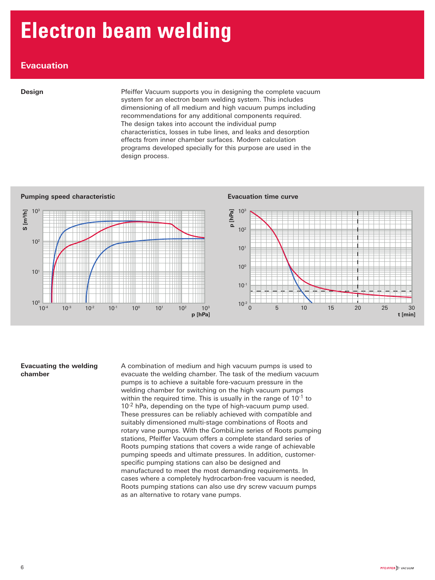### **Evacuation**

**Design** Pfeiffer Vacuum supports you in designing the complete vacuum system for an electron beam welding system. This includes dimensioning of all medium and high vacuum pumps including recommendations for any additional components required. The design takes into account the individual pump characteristics, losses in tube lines, and leaks and desorption effects from inner chamber surfaces. Modern calculation programs developed specially for this purpose are used in the design process.



#### **Evacuating the welding chamber**

A combination of medium and high vacuum pumps is used to evacuate the welding chamber. The task of the medium vacuum pumps is to achieve a suitable fore-vacuum pressure in the welding chamber for switching on the high vacuum pumps within the required time. This is usually in the range of  $10^{-1}$  to 10<sup>-2</sup> hPa, depending on the type of high-vacuum pump used. These pressures can be reliably achieved with compatible and suitably dimensioned multi-stage combinations of Roots and rotary vane pumps. With the CombiLine series of Roots pumping stations, Pfeiffer Vacuum offers a complete standard series of Roots pumping stations that covers a wide range of achievable pumping speeds and ultimate pressures. In addition, customerspecific pumping stations can also be designed and manufactured to meet the most demanding requirements. In cases where a completely hydrocarbon-free vacuum is needed, Roots pumping stations can also use dry screw vacuum pumps as an alternative to rotary vane pumps.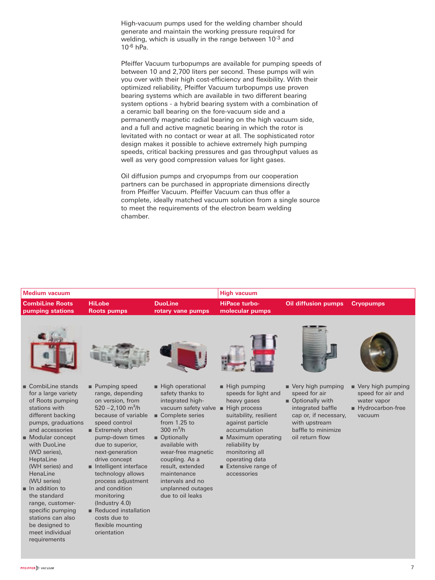High-vacuum pumps used for the welding chamber should generate and maintain the working pressure required for welding, which is usually in the range between 10<sup>-3</sup> and  $10^{-6}$  hPa.

Pfeiffer Vacuum turbopumps are available for pumping speeds of between 10 and 2,700 liters per second. These pumps will win you over with their high cost-efficiency and flexibility. With their optimized reliability, Pfeiffer Vacuum turbopumps use proven bearing systems which are available in two different bearing system options - a hybrid bearing system with a combination of a ceramic ball bearing on the fore-vacuum side and a permanently magnetic radial bearing on the high vacuum side, and a full and active magnetic bearing in which the rotor is levitated with no contact or wear at all. The sophisticated rotor design makes it possible to achieve extremely high pumping speeds, critical backing pressures and gas throughput values as well as very good compression values for light gases.

Oil diffusion pumps and cryopumps from our cooperation partners can be purchased in appropriate dimensions directly from Pfeiffer Vacuum. Pfeiffer Vacuum can thus offer a complete, ideally matched vacuum solution from a single source to meet the requirements of the electron beam welding chamber.

| <b>Medium vacuum</b>                                                                                                                                      |                                                                                                                                                              |                                                                                                                                                    | <b>High vacuum</b>                                                                                                                               |                                                                                                                                                |                                                                                     |
|-----------------------------------------------------------------------------------------------------------------------------------------------------------|--------------------------------------------------------------------------------------------------------------------------------------------------------------|----------------------------------------------------------------------------------------------------------------------------------------------------|--------------------------------------------------------------------------------------------------------------------------------------------------|------------------------------------------------------------------------------------------------------------------------------------------------|-------------------------------------------------------------------------------------|
| <b>CombiLine Roots</b><br>pumping stations                                                                                                                | <b>HiLobe</b><br><b>Roots pumps</b>                                                                                                                          | <b>DuoLine</b><br>rotary vane pumps                                                                                                                | <b>HiPace turbo-</b><br>molecular pumps                                                                                                          | <b>Oil diffusion pumps</b>                                                                                                                     | <b>Cryopumps</b>                                                                    |
|                                                                                                                                                           |                                                                                                                                                              |                                                                                                                                                    |                                                                                                                                                  |                                                                                                                                                |                                                                                     |
| $\blacksquare$ CombiLine stands<br>for a large variety<br>of Roots pumping<br>stations with<br>different backing<br>pumps, graduations<br>and accessories | Pumping speed<br>range, depending<br>on version, from<br>$520 - 2,100$ m <sup>3</sup> /h<br>because of variable<br>speed control<br>Extremely short          | High operational<br>safety thanks to<br>integrated high-<br>vacuum safety valve<br>Complete series<br>from $1.25$ to<br>300 $m^3/h$                | $\blacksquare$ High pumping<br>speeds for light and<br>heavy gases<br>High process<br>suitability, resilient<br>against particle<br>accumulation | ■ Very high pumping<br>speed for air<br>■ Optionally with<br>integrated baffle<br>cap or, if necessary,<br>with upstream<br>baffle to minimize | Very high pumping<br>speed for air and<br>water vapor<br>Hydrocarbon-free<br>vacuum |
| Modular concept<br>with DuoLine<br>(WD series),<br>HeptaLine<br>(WH series) and<br>HenaLine<br>(WU series)<br>$\blacksquare$ In addition to               | pump-down times<br>due to superior,<br>next-generation<br>drive concept<br>Intelligent interface<br>technology allows<br>process adjustment<br>and condition | ■ Optionally<br>available with<br>wear-free magnetic<br>coupling. As a<br>result, extended<br>maintenance<br>intervals and no<br>unplanned outages | ■ Maximum operating<br>reliability by<br>monitoring all<br>operating data<br>$\blacksquare$ Extensive range of<br>accessories                    | oil return flow                                                                                                                                |                                                                                     |

due to oil leaks

the standard range, customerspecific pumping stations can also be designed to meet individual requirements

monitoring (Industry 4.0) ■ Reduced installation costs due to flexible mounting orientation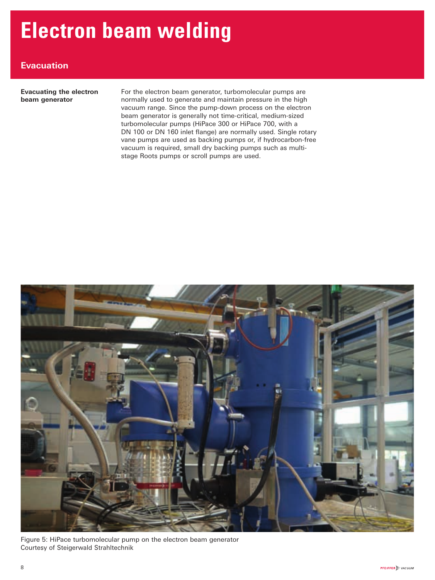### **Evacuation**

 **Evacuating the electron beam generator** 

 For the electron beam generator, turbomolecular pumps are normally used to generate and maintain pressure in the high vacuum range. Since the pump-down process on the electron beam generator is generally not time-critical, medium-sized turbomolecular pumps (HiPace 300 or HiPace 700, with a DN 100 or DN 160 inlet flange) are normally used. Single rotary vane pumps are used as backing pumps or, if hydrocarbon-free vacuum is required, small dry backing pumps such as multistage Roots pumps or scroll pumps are used.



 Figure 5: HiPace turbomolecular pump on the electron beam generator Courtesy of Steigerwald Strahltechnik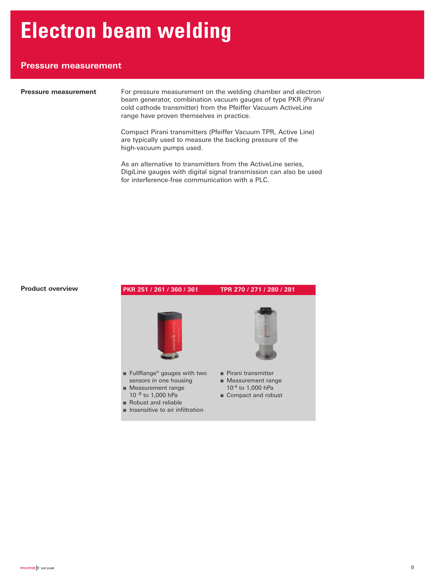### **Pressure measurement**

**Pressure measurement** For pressure measurement on the welding chamber and electron beam generator, combination vacuum gauges of type PKR (Pirani/ cold cathode transmitter) from the Pfeiffer Vacuum ActiveLine range have proven themselves in practice.

> Compact Pirani transmitters (Pfeiffer Vacuum TPR, Active Line) are typically used to measure the backing pressure of the high-vacuum pumps used.

As an alternative to transmitters from the ActiveLine series, DigiLine gauges with digital signal transmission can also be used for interference-free communication with a PLC.

#### **Product overview**

### **PKR 251 / 261 / 360 / 361 TPR 270 / 271 / 280 / 281** ■ FullRange<sup>®</sup> gauges with two sensors in one housing ■ Measurement range 10 -9 to 1,000 hPa ■ Robust and reliable ■ Insensitive to air infiltration ■ Pirani transmitter ■ Measurement range 10-4 to 1,000 hPa ■ Compact and robust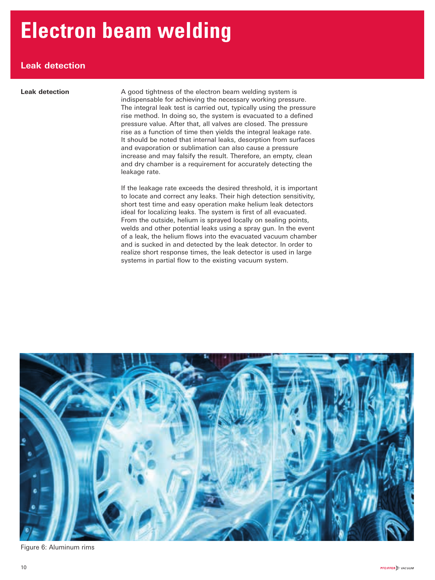### **Leak detection**

**Leak detection** A good tightness of the electron beam welding system is indispensable for achieving the necessary working pressure. The integral leak test is carried out, typically using the pressure rise method. In doing so, the system is evacuated to a defined pressure value. After that, all valves are closed. The pressure rise as a function of time then yields the integral leakage rate. It should be noted that internal leaks, desorption from surfaces and evaporation or sublimation can also cause a pressure increase and may falsify the result. Therefore, an empty, clean and dry chamber is a requirement for accurately detecting the leakage rate.

> If the leakage rate exceeds the desired threshold, it is important to locate and correct any leaks. Their high detection sensitivity, short test time and easy operation make helium leak detectors ideal for localizing leaks. The system is first of all evacuated. From the outside, helium is sprayed locally on sealing points, welds and other potential leaks using a spray gun. In the event of a leak, the helium flows into the evacuated vacuum chamber and is sucked in and detected by the leak detector. In order to realize short response times, the leak detector is used in large systems in partial flow to the existing vacuum system.



Figure 6: Aluminum rims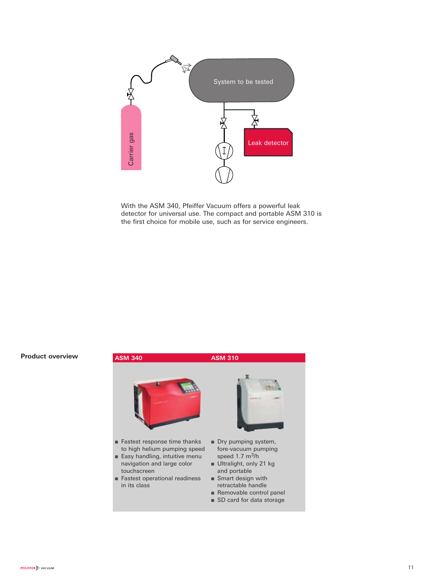

With the ASM 340, Pfeiffer Vacuum offers a powerful leak detector for universal use. The compact and portable ASM 310 is the first choice for mobile use, such as for service engineers.

#### **Product overview**

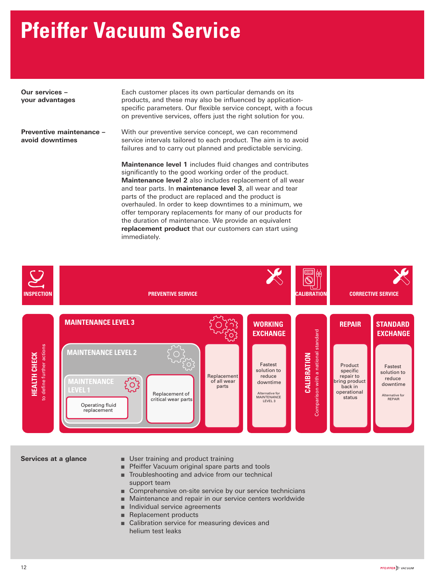## **Pfeiffer Vacuum Service**

 **Our services – your advantages**  Each customer places its own particular demands on its products, and these may also be influenced by applicationspecific parameters. Our flexible service concept, with a focus on preventive services, offers just the right solution for you.  **Preventive maintenance – avoid downtimes**  With our preventive service concept, we can recommend service intervals tailored to each product. The aim is to avoid failures and to carry out planned and predictable servicing. **Maintenance level 1** includes fluid changes and contributes significantly to the good working order of the product. **Maintenance level 2** also includes replacement of all wear and tear parts. In **maintenance level 3**, all wear and tear parts of the product are replaced and the product is overhauled. In order to keep downtimes to a minimum, we offer temporary replacements for many of our products for the duration of maintenance. We provide an equivalent

The Pfeiffer Vacuum Service Concept

immediately.



**replacement product** that our customers can start using

- **Services at a glance** User training and product training
	- Pfeiffer Vacuum original spare parts and tools
	- Troubleshooting and advice from our technical
		- support team
	- Comprehensive on-site service by our service technicians
	- Maintenance and repair in our service centers worldwide
	- Individual service agreements
	- Replacement products
	- Calibration service for measuring devices and helium test leaks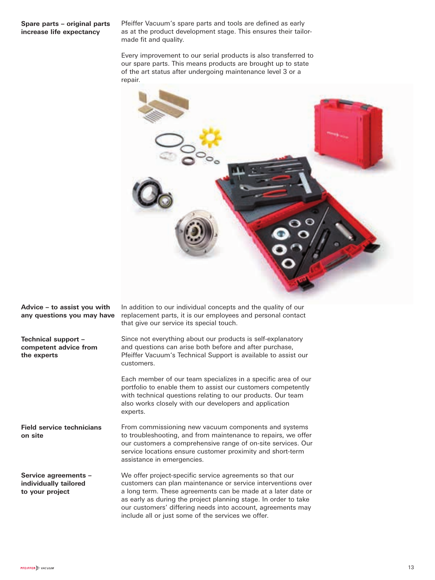#### **Spare parts – original parts increase life expectancy**

Pfeiffer Vacuum's spare parts and tools are defined as early as at the product development stage. This ensures their tailormade fit and quality.

Every improvement to our serial products is also transferred to our spare parts. This means products are brought up to state of the art status after undergoing maintenance level 3 or a repair.



**Advice – to assist you with any questions you may have**

**Technical support – competent advice from the experts**

**Field service technicians on site**

From commissioning new vacuum components and systems to troubleshooting, and from maintenance to repairs, we offer our customers a comprehensive range of on-site services. Our service locations ensure customer proximity and short-term assistance in emergencies.

replacement parts, it is our employees and personal contact

Since not everything about our products is self-explanatory and questions can arise both before and after purchase, Pfeiffer Vacuum's Technical Support is available to assist our

Each member of our team specializes in a specific area of our portfolio to enable them to assist our customers competently with technical questions relating to our products. Our team also works closely with our developers and application

that give our service its special touch.

customers.

experts.

**Service agreements – individually tailored to your project** We offer project-specific service agreements so that our customers can plan maintenance or service interventions over a long term. These agreements can be made at a later date or as early as during the project planning stage. In order to take our customers' differing needs into account, agreements may include all or just some of the services we offer.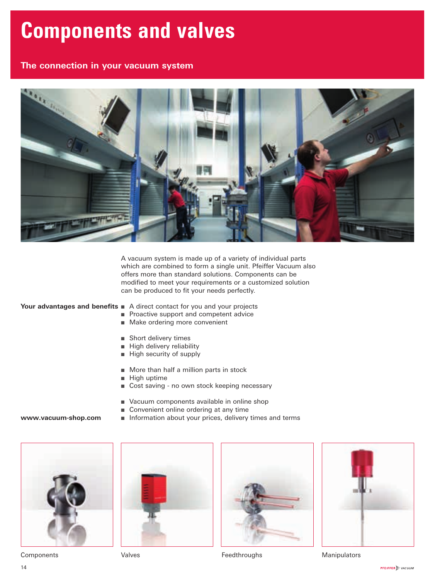### **Components and valves**

### **The connection in your vacuum system**



A vacuum system is made up of a variety of individual parts which are combined to form a single unit. Pfeiffer Vacuum also offers more than standard solutions. Components can be modified to meet your requirements or a customized solution can be produced to fit your needs perfectly.

#### **Your advantages and benefits** ■ A direct contact for you and your projects

- Proactive support and competent advice
- Make ordering more convenient
- Short delivery times
- High delivery reliability
- High security of supply
- More than half a million parts in stock
- High uptime
- Cost saving no own stock keeping necessary
- Vacuum components available in online shop
- Convenient online ordering at any time
- Information about your prices, delivery times and terms



**www.vacuum-shop.com**







Components **Components** Valves **Valves Feedthroughs** Manipulators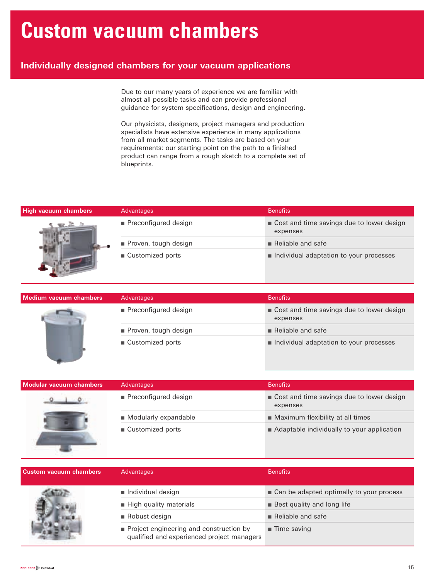### **Custom vacuum chambers**

### **Individually designed chambers for your vacuum applications**

Due to our many years of experience we are familiar with almost all possible tasks and can provide professional guidance for system specifications, design and engineering.

Our physicists, designers, project managers and production specialists have extensive experience in many applications from all market segments. The tasks are based on your requirements: our starting point on the path to a finished product can range from a rough sketch to a complete set of blueprints.

| High vacuum chambers | Advantages           | <b>Benefits</b>                                       |
|----------------------|----------------------|-------------------------------------------------------|
|                      | Preconfigured design | Cost and time savings due to lower design<br>expenses |
|                      | Proven, tough design | $\blacksquare$ Reliable and safe                      |
|                      | ■ Customized ports   | Individual adaptation to your processes               |

| Medium vacuum chambers | Advantages           | <b>Benefits</b>                                         |
|------------------------|----------------------|---------------------------------------------------------|
|                        | Preconfigured design | ■ Cost and time savings due to lower design<br>expenses |
|                        | Proven, tough design | $\blacksquare$ Reliable and safe                        |
|                        | ■ Customized ports   | Individual adaptation to your processes                 |

| Modular vacuum chambers | Advantages             | <b>Benefits</b>                                       |
|-------------------------|------------------------|-------------------------------------------------------|
|                         | ■ Preconfigured design | Cost and time savings due to lower design<br>expenses |
|                         | Modularly expandable   | ■ Maximum flexibility at all times                    |
|                         | ■ Customized ports     | ■ Adaptable individually to your application          |

| <b>Custom vacuum chambers</b> | Advantages                                                                            | <b>Benefits</b>                            |
|-------------------------------|---------------------------------------------------------------------------------------|--------------------------------------------|
|                               | Individual design                                                                     | ■ Can be adapted optimally to your process |
|                               | High quality materials                                                                | <b>Best quality and long life</b>          |
|                               | ■ Robust design                                                                       | $\blacksquare$ Reliable and safe           |
|                               | Project engineering and construction by<br>qualified and experienced project managers | $\blacksquare$ Time saving                 |

 $\mathbf{L} = \mathbf{L}$ 

-